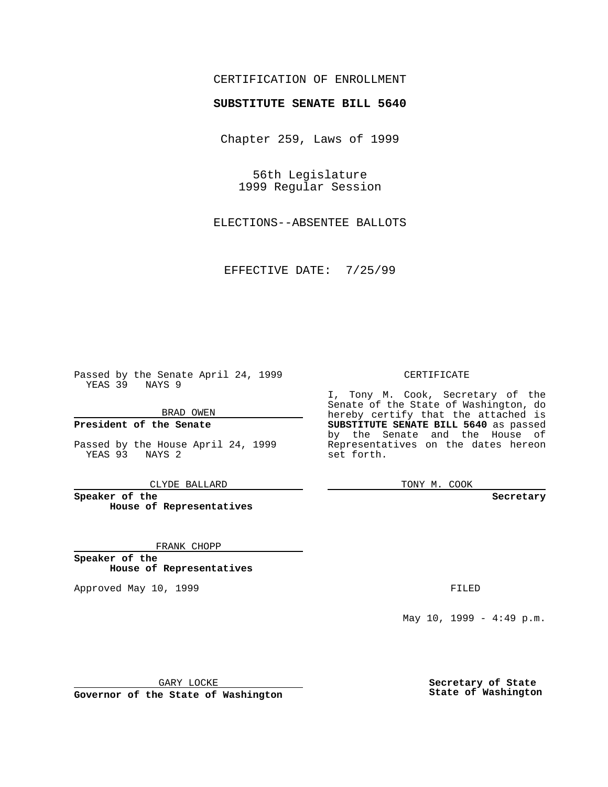## CERTIFICATION OF ENROLLMENT

# **SUBSTITUTE SENATE BILL 5640**

Chapter 259, Laws of 1999

56th Legislature 1999 Regular Session

ELECTIONS--ABSENTEE BALLOTS

EFFECTIVE DATE: 7/25/99

Passed by the Senate April 24, 1999 YEAS 39 NAYS 9

BRAD OWEN

**President of the Senate**

Passed by the House April 24, 1999 YEAS 93 NAYS 2

CLYDE BALLARD

**Speaker of the House of Representatives**

FRANK CHOPP

**Speaker of the House of Representatives**

Approved May 10, 1999 **FILED** 

#### CERTIFICATE

I, Tony M. Cook, Secretary of the Senate of the State of Washington, do hereby certify that the attached is **SUBSTITUTE SENATE BILL 5640** as passed by the Senate and the House of Representatives on the dates hereon set forth.

TONY M. COOK

#### **Secretary**

May 10, 1999 - 4:49 p.m.

GARY LOCKE

**Governor of the State of Washington**

**Secretary of State State of Washington**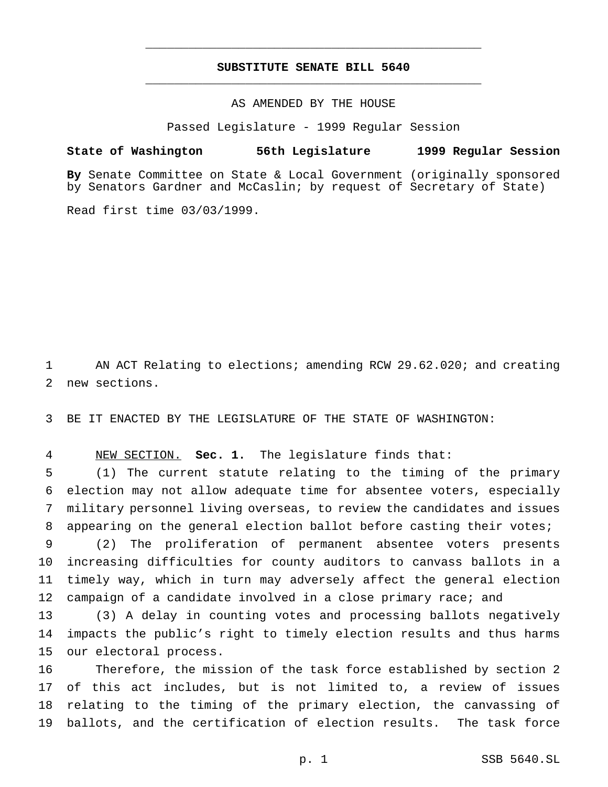## **SUBSTITUTE SENATE BILL 5640** \_\_\_\_\_\_\_\_\_\_\_\_\_\_\_\_\_\_\_\_\_\_\_\_\_\_\_\_\_\_\_\_\_\_\_\_\_\_\_\_\_\_\_\_\_\_\_

\_\_\_\_\_\_\_\_\_\_\_\_\_\_\_\_\_\_\_\_\_\_\_\_\_\_\_\_\_\_\_\_\_\_\_\_\_\_\_\_\_\_\_\_\_\_\_

### AS AMENDED BY THE HOUSE

Passed Legislature - 1999 Regular Session

#### **State of Washington 56th Legislature 1999 Regular Session**

**By** Senate Committee on State & Local Government (originally sponsored by Senators Gardner and McCaslin; by request of Secretary of State)

Read first time 03/03/1999.

 AN ACT Relating to elections; amending RCW 29.62.020; and creating new sections.

BE IT ENACTED BY THE LEGISLATURE OF THE STATE OF WASHINGTON:

NEW SECTION. **Sec. 1.** The legislature finds that:

 (1) The current statute relating to the timing of the primary election may not allow adequate time for absentee voters, especially military personnel living overseas, to review the candidates and issues appearing on the general election ballot before casting their votes;

 (2) The proliferation of permanent absentee voters presents increasing difficulties for county auditors to canvass ballots in a timely way, which in turn may adversely affect the general election campaign of a candidate involved in a close primary race; and

 (3) A delay in counting votes and processing ballots negatively impacts the public's right to timely election results and thus harms our electoral process.

 Therefore, the mission of the task force established by section 2 of this act includes, but is not limited to, a review of issues relating to the timing of the primary election, the canvassing of ballots, and the certification of election results. The task force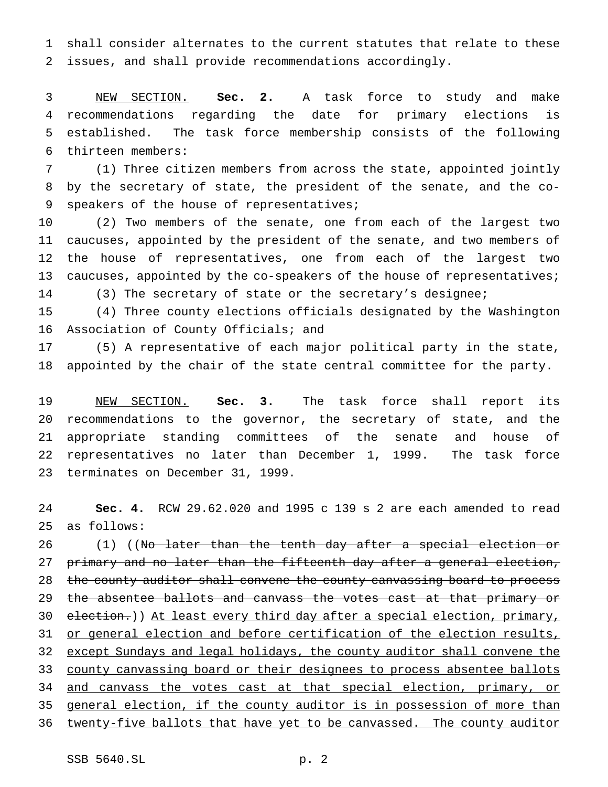shall consider alternates to the current statutes that relate to these issues, and shall provide recommendations accordingly.

 NEW SECTION. **Sec. 2.** A task force to study and make recommendations regarding the date for primary elections is established. The task force membership consists of the following thirteen members:

 (1) Three citizen members from across the state, appointed jointly by the secretary of state, the president of the senate, and the co-9 speakers of the house of representatives;

 (2) Two members of the senate, one from each of the largest two caucuses, appointed by the president of the senate, and two members of the house of representatives, one from each of the largest two 13 caucuses, appointed by the co-speakers of the house of representatives;

(3) The secretary of state or the secretary's designee;

 (4) Three county elections officials designated by the Washington Association of County Officials; and

 (5) A representative of each major political party in the state, appointed by the chair of the state central committee for the party.

 NEW SECTION. **Sec. 3.** The task force shall report its recommendations to the governor, the secretary of state, and the appropriate standing committees of the senate and house of representatives no later than December 1, 1999. The task force terminates on December 31, 1999.

 **Sec. 4.** RCW 29.62.020 and 1995 c 139 s 2 are each amended to read as follows:

26 (1) ((No later than the tenth day after a special election or 27 primary and no later than the fifteenth day after a general election, 28 the county auditor shall convene the county canvassing board to process 29 the absentee ballots and canvass the votes cast at that primary or 30 election.)) At least every third day after a special election, primary, 31 or general election and before certification of the election results, except Sundays and legal holidays, the county auditor shall convene the 33 county canvassing board or their designees to process absentee ballots 34 and canvass the votes cast at that special election, primary, or general election, if the county auditor is in possession of more than twenty-five ballots that have yet to be canvassed. The county auditor